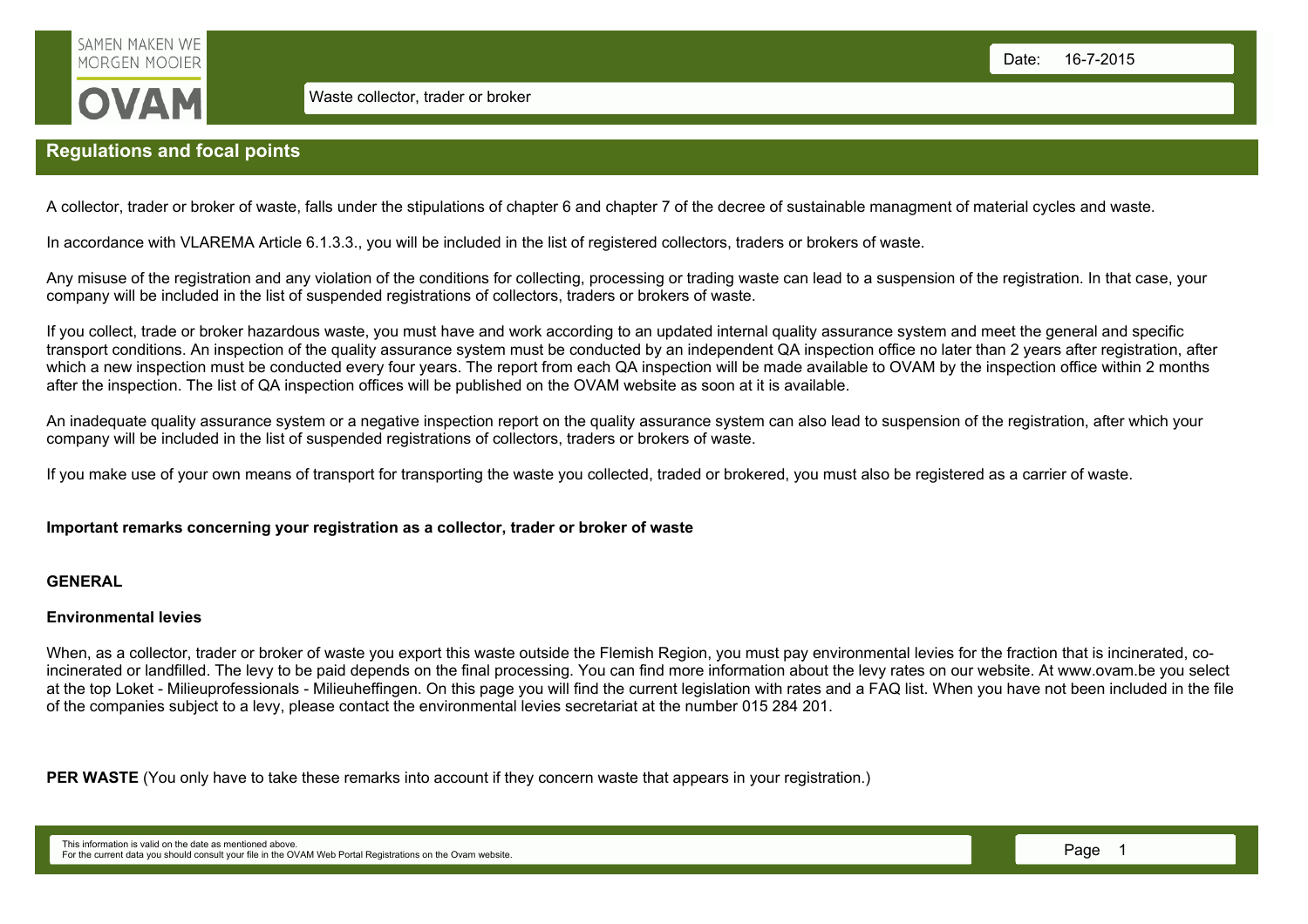

# Regulations and focal points

A collector, trader or broker of waste, falls under the stipulations of chapter 6 and chapter 7 of the decree of sustainable managment of material cycles and waste.

In accordance with VLAREMA Article 6.1.3.3., you will be included in the list of registered collectors, traders or brokers of waste.

Any misuse of the registration and any violation of the conditions for collecting, processing or trading waste can lead to a suspension of the registration. In that case, your company will be included in the list of suspended registrations of collectors, traders or brokers of waste.

If you collect, trade or broker hazardous waste, you must have and work according to an updated internal quality assurance system and meet the general and specific transport conditions. An inspection of the quality assurance system must be conducted by an independent QA inspection office no later than 2 years after registration, after which a new inspection must be conducted every four years. The report from each QA inspection will be made available to OVAM by the inspection office within 2 months after the inspection. The list of QA inspection offices will be published on the OVAM website as soon at it is available.

An inadequate quality assurance system or a negative inspection report on the quality assurance system can also lead to suspension of the registration, after which your company will be included in the list of suspended registrations of collectors, traders or brokers of waste.

If you make use of your own means of transport for transporting the waste you collected, traded or brokered, you must also be registered as a carrier of waste.

## Important remarks concerning your registration as a collector, trader or broker of waste

#### **GENERAL**

#### Environmental levies

When, as a collector, trader or broker of waste you export this waste outside the Flemish Region, you must pay environmental levies for the fraction that is incinerated, coincinerated or landfilled. The levy to be paid depends on the final processing. You can find more information about the levy rates on our website. At www.ovam.be you select at the top Loket - Milieuprofessionals - Milieuheffingen. On this page you will find the current legislation with rates and a FAQ list. When you have not been included in the file of the companies subject to a levy, please contact the environmental levies secretariat at the number 015 284 201.

PER WASTE (You only have to take these remarks into account if they concern waste that appears in your registration.)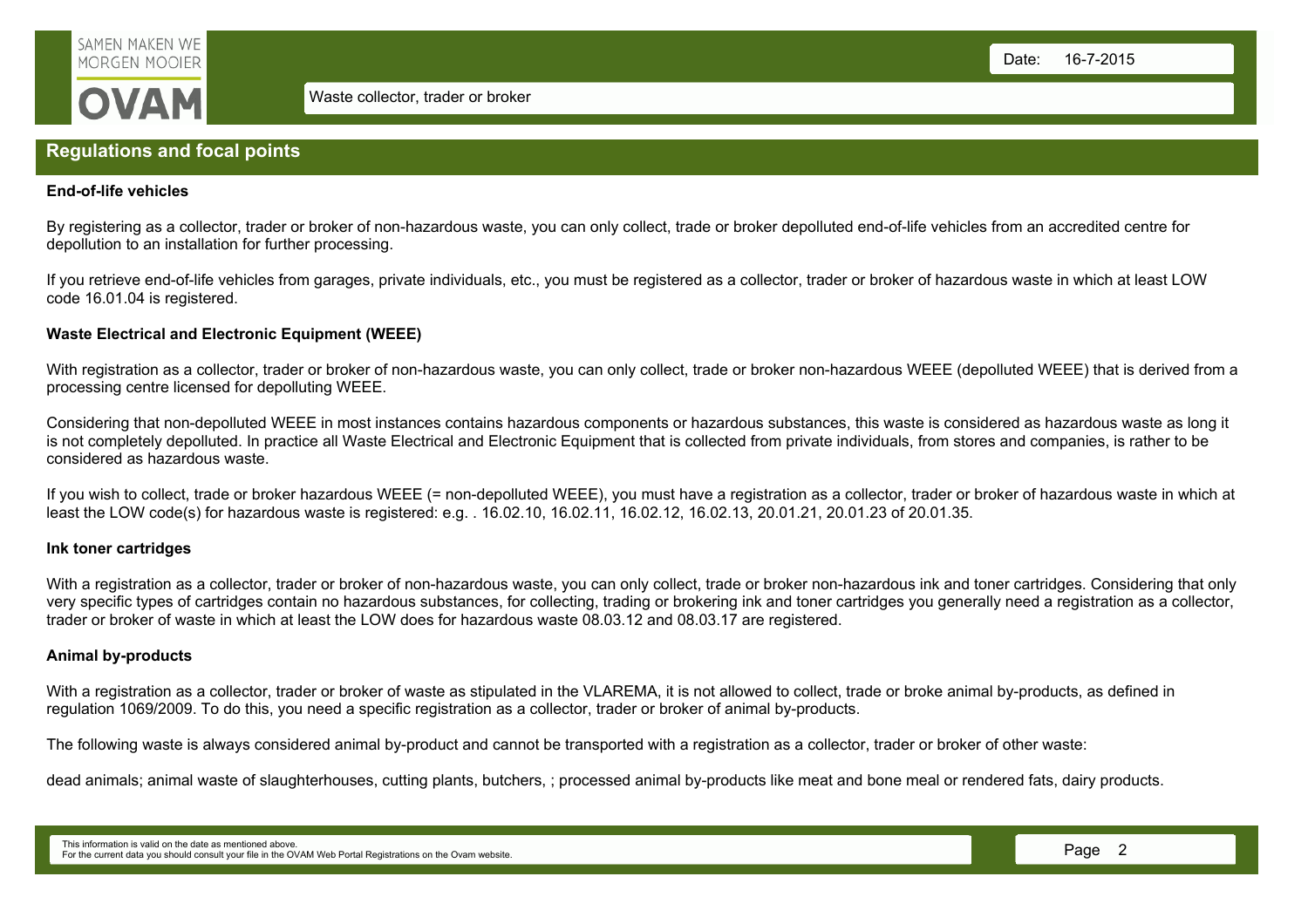

## Regulations and focal points

### End-of-life vehicles

By registering as a collector, trader or broker of non-hazardous waste, you can only collect, trade or broker depolluted end-of-life vehicles from an accredited centre for depollution to an installation for further processing.

If you retrieve end-of-life vehicles from garages, private individuals, etc., you must be registered as a collector, trader or broker of hazardous waste in which at least LOW code 16.01.04 is registered.

## Waste Electrical and Electronic Equipment (WEEE)

With registration as a collector, trader or broker of non-hazardous waste, you can only collect, trade or broker non-hazardous WEEE (depolluted WEEE) that is derived from a processing centre licensed for depolluting WEEE.

Considering that non-depolluted WEEE in most instances contains hazardous components or hazardous substances, this waste is considered as hazardous waste as long it is not completely depolluted. In practice all Waste Electrical and Electronic Equipment that is collected from private individuals, from stores and companies, is rather to be considered as hazardous waste.

If you wish to collect, trade or broker hazardous WEEE (= non-depolluted WEEE), you must have a registration as a collector, trader or broker of hazardous waste in which at least the LOW code(s) for hazardous waste is registered: e.g. . 16.02.10, 16.02.11, 16.02.12, 16.02.13, 20.01.21, 20.01.23 of 20.01.35.

## Ink toner cartridges

With a registration as a collector, trader or broker of non-hazardous waste, you can only collect, trade or broker non-hazardous ink and toner cartridges. Considering that only very specific types of cartridges contain no hazardous substances, for collecting, trading or brokering ink and toner cartridges you generally need a registration as a collector, trader or broker of waste in which at least the LOW does for hazardous waste 08.03.12 and 08.03.17 are registered.

## Animal by-products

With a registration as a collector, trader or broker of waste as stipulated in the VLAREMA, it is not allowed to collect, trade or broke animal by-products, as defined in regulation 1069/2009. To do this, you need a specific registration as a collector, trader or broker of animal by-products.

The following waste is always considered animal by-product and cannot be transported with a registration as a collector, trader or broker of other waste:

dead animals; animal waste of slaughterhouses, cutting plants, butchers, ; processed animal by-products like meat and bone meal or rendered fats, dairy products.